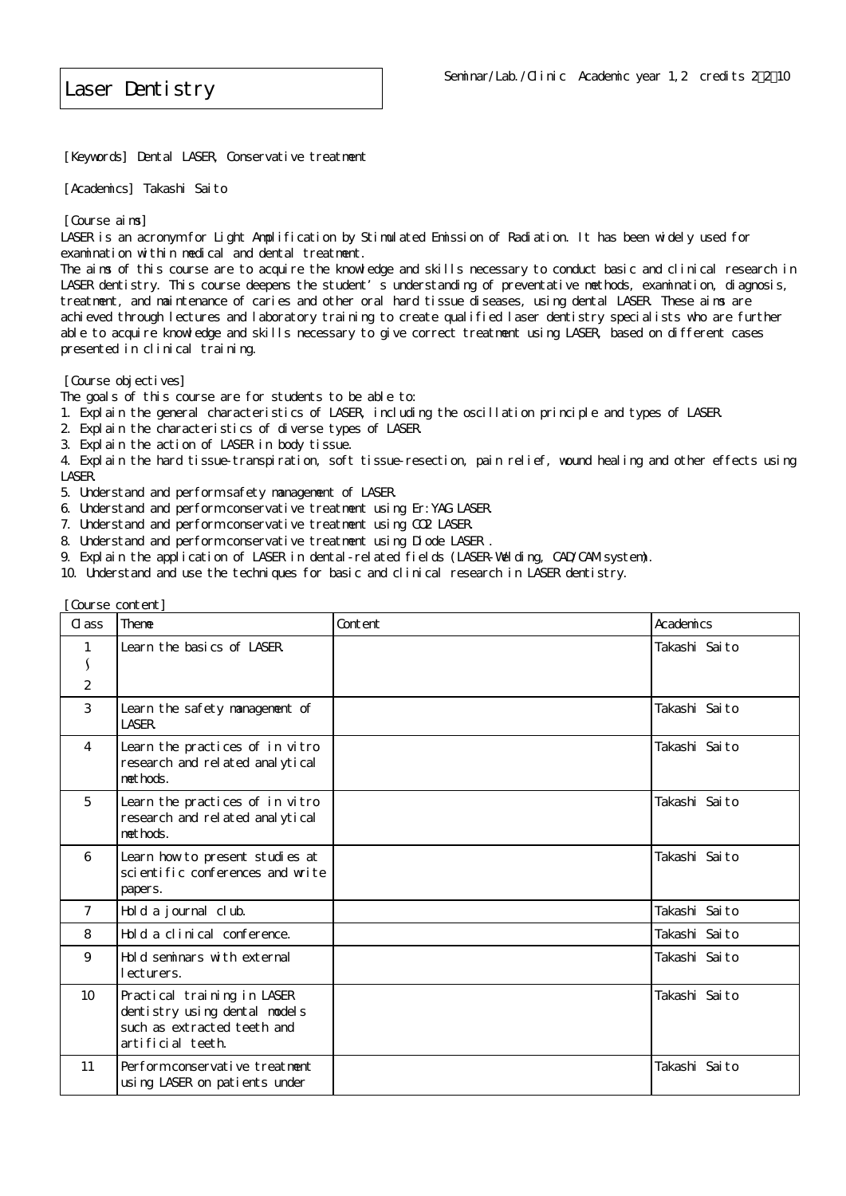[Keywords] Dental LASER, Conservative treatment

[Academics] Takashi Saito

[Course aims]

LASER is an acronym for Light Amplification by Stimulated Emission of Radiation. It has been widely used for examination within medical and dental treatment.

The aims of this course are to acquire the knowledge and skills necessary to conduct basic and clinical research in LASER dentistry. This course deepens the student's understanding of preventative methods, examination, diagnosis, treatment, and maintenance of caries and other oral hard tissue diseases, using dental LASER. These aims are achieved through lectures and laboratory training to create qualified laser dentistry specialists who are further able to acquire knowledge and skills necessary to give correct treatment using LASER, based on different cases presented in clinical training.

[Course objectives]

The goals of this course are for students to be able to:

1. Explain the general characteristics of LASER, including the oscillation principle and types of LASER.

- 2. Explain the characteristics of diverse types of LASER.
- 3. Explain the action of LASER in body tissue.

4. Explain the hard tissue-transpiration, soft tissue-resection, pain relief, wound healing and other effects using LASER.

- 5. Understand and perform safety management of LASER.
- 6. Understand and perform conservative treatment using Er:YAG LASER.
- 7. Understand and perform conservative treatment using CO2 LASER.
- 8. Understand and perform conservative treatment using Diode LASER
- 9. Explain the application of LASER in dental-related fields (LASER-Welding, CAD/CAM system).
- 10. Understand and use the techniques for basic and clinical research in LASER dentistry.

|                 | Course content]                                                                                                  |         |               |  |  |
|-----------------|------------------------------------------------------------------------------------------------------------------|---------|---------------|--|--|
| $C1$ ass        | Theme                                                                                                            | Content | Academics     |  |  |
| $\mathbf{1}$    | Learn the basics of LASER                                                                                        |         | Takashi Saito |  |  |
| S               |                                                                                                                  |         |               |  |  |
| $\overline{2}$  |                                                                                                                  |         |               |  |  |
| 3               | Learn the safety management of<br><b>LASER.</b>                                                                  |         | Takashi Saito |  |  |
| $\overline{4}$  | Learn the practices of in vitro<br>research and related analytical<br>nethods.                                   |         | Takashi Saito |  |  |
| 5               | Learn the practices of in vitro<br>research and related analytical<br>methods.                                   |         | Takashi Saito |  |  |
| 6               | Learn how to present studies at<br>scientific conferences and write<br>papers.                                   |         | Takashi Saito |  |  |
| $\overline{7}$  | Hold a journal club.                                                                                             |         | Takashi Saito |  |  |
| 8               | Hold a clinical conference.                                                                                      |         | Takashi Saito |  |  |
| 9               | Hold seminars with external<br>ecturers.                                                                         |         | Takashi Saito |  |  |
| 10 <sup>°</sup> | Practical training in LASER<br>dentistry using dental models<br>such as extracted teeth and<br>artificial teeth. |         | Takashi Saito |  |  |
| 11              | Perform conservative treatment<br>using LASER on patients under                                                  |         | Takashi Saito |  |  |